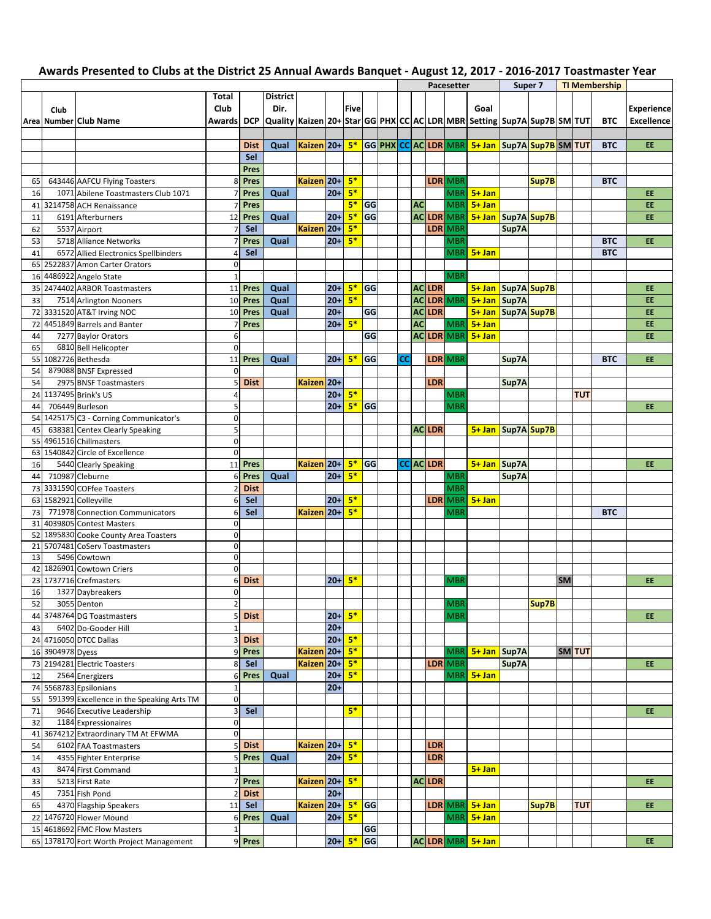|          |                  |                                                                  |                            |             |                                                                                                                  |                 |           |      |           |           |           |                  | <b>Pacesetter</b> |                                                |       | Super 7 |           |               | <b>TI Membership</b> |                   |
|----------|------------------|------------------------------------------------------------------|----------------------------|-------------|------------------------------------------------------------------------------------------------------------------|-----------------|-----------|------|-----------|-----------|-----------|------------------|-------------------|------------------------------------------------|-------|---------|-----------|---------------|----------------------|-------------------|
|          |                  |                                                                  | Total                      |             | <b>District</b>                                                                                                  |                 |           |      |           |           |           |                  |                   |                                                |       |         |           |               |                      |                   |
|          | Club             |                                                                  | Club                       |             | Dir.                                                                                                             |                 |           | Five |           |           |           |                  |                   | Goal                                           |       |         |           |               |                      | <b>Experience</b> |
|          |                  | Area Number Club Name                                            |                            |             | Awards   DCP   Quality   Kaizen 20+   Star   GG   PHX   CC   AC   LDR   MBR   Setting   Sup7A   Sup7B   SM   TUT |                 |           |      |           |           |           |                  |                   |                                                |       |         |           |               | <b>BTC</b>           | <b>Excellence</b> |
|          |                  |                                                                  |                            |             |                                                                                                                  |                 |           |      |           |           |           |                  |                   |                                                |       |         |           |               |                      |                   |
|          |                  |                                                                  |                            | <b>Dist</b> | Qual                                                                                                             | Kaizen 20+      |           | $5*$ |           |           |           |                  |                   | GG PHX CC AC LDR MBR 5+ Jan Sup7A Sup7B SM TUT |       |         |           |               | <b>BTC</b>           | EE                |
|          |                  |                                                                  |                            | Sel         |                                                                                                                  |                 |           |      |           |           |           |                  |                   |                                                |       |         |           |               |                      |                   |
|          |                  |                                                                  |                            | Pres        |                                                                                                                  |                 |           |      |           |           |           |                  |                   |                                                |       |         |           |               |                      |                   |
|          |                  |                                                                  |                            | <b>Pres</b> |                                                                                                                  | Kaizen 20+      |           | $5*$ |           |           |           |                  | <b>LDR MBR</b>    |                                                |       | Sup7B   |           |               | <b>BTC</b>           |                   |
| 65       |                  | 643446 AAFCU Flying Toasters                                     | 8                          |             |                                                                                                                  |                 |           |      |           |           |           |                  |                   |                                                |       |         |           |               |                      |                   |
| 16       |                  | 1071 Abilene Toastmasters Club 1071                              | $\overline{7}$             | Pres        | Qual                                                                                                             |                 | $20 +$    | $5*$ |           |           |           |                  |                   | MBR 5+ Jan                                     |       |         |           |               |                      | <b>EE</b>         |
| 41       |                  | 3214758 ACH Renaissance                                          |                            | Pres        |                                                                                                                  |                 |           | $5*$ | GG        |           | <b>AC</b> |                  | <b>MBR</b>        | $5 + Jan$                                      |       |         |           |               |                      | <b>EE</b>         |
| 11       |                  | 6191 Afterburners                                                | 12                         | Pres        | Qual                                                                                                             |                 | $20+$     | $5*$ | GG        |           |           |                  | <b>AC LDR MBR</b> | 5+ Jan Sup7A Sup7B                             |       |         |           |               |                      | <b>EE</b>         |
| 62       |                  | 5537 Airport                                                     |                            | Sel         |                                                                                                                  | Kaizen 20+      |           | $5*$ |           |           |           |                  | LDR MBR           |                                                | Sup7A |         |           |               |                      |                   |
| 53       |                  | 5718 Alliance Networks                                           | $\overline{7}$             | <b>Pres</b> | Qual                                                                                                             |                 | $20+$     | $5*$ |           |           |           |                  | <b>MBR</b>        |                                                |       |         |           |               | <b>BTC</b>           | EE.               |
| 41       |                  | 6572 Allied Electronics Spellbinders                             | 4                          | Sel         |                                                                                                                  |                 |           |      |           |           |           |                  | <b>MBR</b>        | $5 + Jan$                                      |       |         |           |               | <b>BTC</b>           |                   |
| 65       |                  | 2522837 Amon Carter Orators                                      | $\mathbf 0$                |             |                                                                                                                  |                 |           |      |           |           |           |                  |                   |                                                |       |         |           |               |                      |                   |
| 16       |                  | 4486922 Angelo State                                             | $\mathbf{1}$               |             |                                                                                                                  |                 |           |      |           |           |           |                  | <b>MBR</b>        |                                                |       |         |           |               |                      |                   |
| 35       |                  | 2474402 ARBOR Toastmasters                                       | 11                         | Pres        | Qual                                                                                                             |                 | $20+$     | $5*$ | GG        |           |           | <b>ACLDR</b>     |                   | 5+ Jan Sup7A Sup7B                             |       |         |           |               |                      | <b>EE</b>         |
| 33       |                  | 7514 Arlington Nooners                                           | 10                         | Pres        | Qual                                                                                                             |                 | $20 +$    | $5*$ |           |           | <b>AC</b> |                  | LDR MBR           | 5+ Jan Sup7A                                   |       |         |           |               |                      | EE.               |
|          |                  | 72 3331520 AT&T Irving NOC                                       | 10                         | Pres        | Qual                                                                                                             |                 | $20 +$    |      | GG        |           | <b>AC</b> | <b>LDR</b>       |                   | 5+ Jan Sup7A Sup7B                             |       |         |           |               |                      | EE                |
| 72       |                  | 4451849 Barrels and Banter                                       | 7                          | Pres        |                                                                                                                  |                 | $20 +$    | $5*$ |           |           | <b>AC</b> |                  | MBR               | $5 + Jan$                                      |       |         |           |               |                      | EE                |
| 44       |                  | 7277 Baylor Orators                                              | 6                          |             |                                                                                                                  |                 |           |      | GG        |           |           |                  | <b>AC LDR MBR</b> | $5 + Jan$                                      |       |         |           |               |                      | <b>EE</b>         |
| 65       |                  | 6810 Bell Helicopter                                             | $\mathbf 0$                |             |                                                                                                                  |                 |           |      |           |           |           |                  |                   |                                                |       |         |           |               |                      |                   |
|          |                  | 55 1082726 Bethesda                                              | 11                         | Pres        | Qual                                                                                                             |                 | $20+$     | $5*$ | GG        | <b>CC</b> |           |                  | LDR MBR           |                                                | Sup7A |         |           |               | <b>BTC</b>           | EE.               |
| 54       |                  | 879088 BNSF Expressed                                            | $\mathbf 0$                |             |                                                                                                                  |                 |           |      |           |           |           |                  |                   |                                                |       |         |           |               |                      |                   |
| 54       |                  | 2975 BNSF Toastmasters                                           | 5                          | <b>Dist</b> |                                                                                                                  | Kaizen 20+      |           |      |           |           |           | LDR              |                   |                                                | Sup7A |         |           |               |                      |                   |
| 24       |                  | 1137495 Brink's US                                               | $\overline{4}$             |             |                                                                                                                  |                 | $20+$     | $5*$ |           |           |           |                  | <b>MBR</b>        |                                                |       |         |           | <b>TUT</b>    |                      |                   |
|          |                  | 706449 Burleson                                                  | 5                          |             |                                                                                                                  |                 | $20+$     | $5*$ | <b>GG</b> |           |           |                  | <b>MBR</b>        |                                                |       |         |           |               |                      | <b>EE</b>         |
| 44<br>54 |                  |                                                                  | $\mathbf 0$                |             |                                                                                                                  |                 |           |      |           |           |           |                  |                   |                                                |       |         |           |               |                      |                   |
| 45       |                  | 1425175 C3 - Corning Communicator's                              | 5                          |             |                                                                                                                  |                 |           |      |           |           |           | <b>ACLDR</b>     |                   | 5+ Jan Sup7A Sup7B                             |       |         |           |               |                      |                   |
| 55       |                  | 638381 Centex Clearly Speaking<br>4961516 Chillmasters           | $\mathbf 0$                |             |                                                                                                                  |                 |           |      |           |           |           |                  |                   |                                                |       |         |           |               |                      |                   |
| 63       |                  | 1540842 Circle of Excellence                                     | $\mathbf 0$                |             |                                                                                                                  |                 |           |      |           |           |           |                  |                   |                                                |       |         |           |               |                      |                   |
|          |                  |                                                                  | 11                         | Pres        |                                                                                                                  | Kaizen 20+      |           | $5*$ | GG        |           |           | <b>CC AC LDR</b> |                   | 5+ Jan Sup7A                                   |       |         |           |               |                      | EE                |
| 16<br>44 |                  | 5440 Clearly Speaking<br>710987 Cleburne                         |                            | Pres        | Qual                                                                                                             |                 | $20 +$    | $5*$ |           |           |           |                  |                   |                                                | Sup7A |         |           |               |                      |                   |
|          |                  |                                                                  | 6<br>$\overline{a}$        | <b>Dist</b> |                                                                                                                  |                 |           |      |           |           |           |                  | <b>MBR</b>        |                                                |       |         |           |               |                      |                   |
|          |                  | 73 3331590 COFfee Toasters                                       |                            |             |                                                                                                                  |                 |           |      |           |           |           |                  | <b>MBR</b>        |                                                |       |         |           |               |                      |                   |
|          |                  | 63 1582921 Colleyville                                           | 6                          | Sel         |                                                                                                                  |                 | $20 +$    | $5*$ |           |           |           |                  | LDR MBR           | $5 + Jan$                                      |       |         |           |               |                      |                   |
| 73       |                  | 771978 Connection Communicators                                  | 6                          | Sel         |                                                                                                                  | Kaizen 20+      |           | $5*$ |           |           |           |                  | <b>MBR</b>        |                                                |       |         |           |               | <b>BTC</b>           |                   |
| 31       |                  | 4039805 Contest Masters<br>52 1895830 Cooke County Area Toasters | $\mathbf 0$<br>$\mathbf 0$ |             |                                                                                                                  |                 |           |      |           |           |           |                  |                   |                                                |       |         |           |               |                      |                   |
|          |                  |                                                                  | $\mathbf 0$                |             |                                                                                                                  |                 |           |      |           |           |           |                  |                   |                                                |       |         |           |               |                      |                   |
| 21<br>13 |                  | 5707481 CoServ Toastmasters<br>5496 Cowtown                      | $\mathbf 0$                |             |                                                                                                                  |                 |           |      |           |           |           |                  |                   |                                                |       |         |           |               |                      |                   |
|          |                  | 42 1826901 Cowtown Criers                                        | $\pmb{0}$                  |             |                                                                                                                  |                 |           |      |           |           |           |                  |                   |                                                |       |         |           |               |                      |                   |
|          |                  |                                                                  |                            | <b>Dist</b> |                                                                                                                  |                 | $20+$     | $5*$ |           |           |           |                  |                   |                                                |       |         | <b>SM</b> |               |                      | <b>EE</b>         |
|          |                  | 23 1737716 Crefmasters                                           | 6                          |             |                                                                                                                  |                 |           |      |           |           |           |                  | <b>MBR</b>        |                                                |       |         |           |               |                      |                   |
| 16       |                  | 1327 Daybreakers                                                 | $\mathbf 0$                |             |                                                                                                                  |                 |           |      |           |           |           |                  |                   |                                                |       |         |           |               |                      |                   |
| 52       |                  | 3055 Denton                                                      | $\overline{2}$             |             |                                                                                                                  |                 |           |      |           |           |           |                  | <b>MBR</b>        |                                                |       | Sup7B   |           |               |                      |                   |
|          |                  | 44 3748764 DG Toastmasters                                       | 5                          | <b>Dist</b> |                                                                                                                  |                 | $20+ 5*$  |      |           |           |           |                  | <b>MBR</b>        |                                                |       |         |           |               |                      | EE.               |
| 43       |                  | 6402 Do-Gooder Hill                                              | $\mathbf 1$                |             |                                                                                                                  |                 | $20+$     |      |           |           |           |                  |                   |                                                |       |         |           |               |                      |                   |
|          |                  | 24 4716050 DTCC Dallas                                           | 3                          | <b>Dist</b> |                                                                                                                  |                 | $20 + 5*$ |      |           |           |           |                  |                   |                                                |       |         |           |               |                      |                   |
|          | 16 3904978 Dyess |                                                                  | 9                          | Pres        |                                                                                                                  | Kaizen 20+ 5*   |           |      |           |           |           |                  |                   | MBR 5+ Jan Sup7A                               |       |         |           | <b>SM</b> TUT |                      |                   |
|          |                  | 73 2194281 Electric Toasters                                     | 8                          | Sel         |                                                                                                                  | Kaizen 20+ 5*   |           |      |           |           |           |                  | LDR MBR           |                                                | Sup7A |         |           |               |                      | EE.               |
| 12       |                  | 2564 Energizers                                                  | 6                          | Pres        | Qual                                                                                                             |                 | $20+$     | $5*$ |           |           |           |                  |                   | $MBR$ 5+ Jan                                   |       |         |           |               |                      |                   |
|          |                  | 74 5568783 Epsilonians                                           | $\mathbf 1$                |             |                                                                                                                  |                 | $20+$     |      |           |           |           |                  |                   |                                                |       |         |           |               |                      |                   |
| 55       |                  | 591399 Excellence in the Speaking Arts TM                        | $\mathbf 0$                |             |                                                                                                                  |                 |           |      |           |           |           |                  |                   |                                                |       |         |           |               |                      |                   |
| 71       |                  | 9646 Executive Leadership                                        | 3                          | Sel         |                                                                                                                  |                 |           | $5*$ |           |           |           |                  |                   |                                                |       |         |           |               |                      | EE.               |
| 32       |                  | 1184 Expressionaires                                             | $\bf 0$                    |             |                                                                                                                  |                 |           |      |           |           |           |                  |                   |                                                |       |         |           |               |                      |                   |
| 41       |                  | 3674212 Extraordinary TM At EFWMA                                | $\mathbf 0$                |             |                                                                                                                  |                 |           |      |           |           |           |                  |                   |                                                |       |         |           |               |                      |                   |
| 54       |                  | 6102 FAA Toastmasters                                            | 5                          | <b>Dist</b> |                                                                                                                  | Kaizen 20+ $5*$ |           |      |           |           |           | LDR              |                   |                                                |       |         |           |               |                      |                   |
| 14       |                  | 4355 Fighter Enterprise                                          | 5                          | Pres        | Qual                                                                                                             |                 | $20 + 5*$ |      |           |           |           | LDR              |                   |                                                |       |         |           |               |                      |                   |
| 43       |                  | 8474 First Command                                               | $\mathbf{1}$               |             |                                                                                                                  |                 |           |      |           |           |           |                  |                   | $5 + Jan$                                      |       |         |           |               |                      |                   |
| 33       |                  | 5213 First Rate                                                  | $\overline{7}$             | Pres        |                                                                                                                  | Kaizen 20+ 5*   |           |      |           |           |           | <b>ACLDR</b>     |                   |                                                |       |         |           |               |                      | EE.               |
| 45       |                  | 7351 Fish Pond                                                   | $\overline{2}$             | <b>Dist</b> |                                                                                                                  |                 | $20+$     |      |           |           |           |                  |                   |                                                |       |         |           |               |                      |                   |
| 65       |                  | 4370 Flagship Speakers                                           | 11                         | Sel         |                                                                                                                  | Kaizen 20+ $5*$ |           |      | <b>GG</b> |           |           |                  |                   | LDR MBR 5+ Jan                                 |       | Sup7B   |           | <b>TUT</b>    |                      | EE                |
|          |                  | 22 1476720 Flower Mound                                          | 6                          | Pres        | Qual                                                                                                             |                 | $20 + 5*$ |      |           |           |           |                  |                   | $MBR$ 5+ Jan                                   |       |         |           |               |                      |                   |
|          |                  | 15 4618692 FMC Flow Masters                                      | $\mathbf{1}$               |             |                                                                                                                  |                 |           |      | GG        |           |           |                  |                   |                                                |       |         |           |               |                      |                   |
|          |                  | 65 1378170 Fort Worth Project Management                         | 9                          | Pres        |                                                                                                                  |                 | $20+$     | $5*$ | GG        |           |           |                  |                   | ACLDR MBR 5+ Jan                               |       |         |           |               |                      | EE                |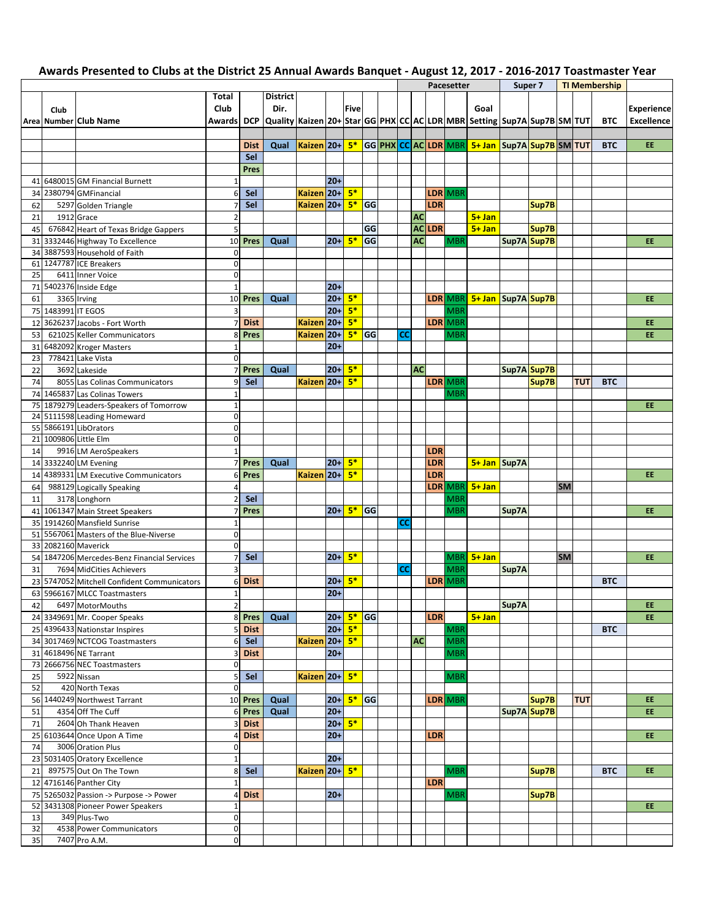|    |                    |                                             |                         |             |                                                                                                       |               |           |             |           |    |           |            | Pacesetter |                                                | Super 7     |       |           |            | <b>TI Membership</b> |                   |
|----|--------------------|---------------------------------------------|-------------------------|-------------|-------------------------------------------------------------------------------------------------------|---------------|-----------|-------------|-----------|----|-----------|------------|------------|------------------------------------------------|-------------|-------|-----------|------------|----------------------|-------------------|
|    |                    |                                             | Total                   |             | <b>District</b>                                                                                       |               |           |             |           |    |           |            |            |                                                |             |       |           |            |                      |                   |
|    | Club               |                                             | Club                    |             | Dir.                                                                                                  |               |           | <b>Five</b> |           |    |           |            |            | Goal                                           |             |       |           |            |                      | <b>Experience</b> |
|    |                    | Area Number Club Name                       | <b>Awards</b>           |             | DCP  Quality   Kaizen 20+  Star   GG   PHX   CC   AC   LDR   MBR   Setting   Sup7A   Sup7B   SM   TUT |               |           |             |           |    |           |            |            |                                                |             |       |           |            | <b>BTC</b>           | <b>Excellence</b> |
|    |                    |                                             |                         |             |                                                                                                       |               |           |             |           |    |           |            |            |                                                |             |       |           |            |                      |                   |
|    |                    |                                             |                         | <b>Dist</b> | Qual                                                                                                  | Kaizen 20+    |           | $5*$        |           |    |           |            |            | GG PHX CC AC LDR MBR 5+ Jan Sup7A Sup7B SM TUT |             |       |           |            | <b>BTC</b>           | EE.               |
|    |                    |                                             |                         | Sel         |                                                                                                       |               |           |             |           |    |           |            |            |                                                |             |       |           |            |                      |                   |
|    |                    |                                             |                         | Pres        |                                                                                                       |               |           |             |           |    |           |            |            |                                                |             |       |           |            |                      |                   |
|    |                    | 41 6480015 GM Financial Burnett             | $\mathbf{1}$            |             |                                                                                                       |               | $20+$     |             |           |    |           |            |            |                                                |             |       |           |            |                      |                   |
|    |                    | 2380794 GMFinancial                         | 6                       | Sel         |                                                                                                       | Kaizen 20+ 5* |           |             |           |    |           |            | LDR MBR    |                                                |             |       |           |            |                      |                   |
| 34 |                    |                                             |                         |             |                                                                                                       |               |           |             |           |    |           |            |            |                                                |             |       |           |            |                      |                   |
| 62 |                    | 5297 Golden Triangle                        | $\overline{7}$          | Sel         |                                                                                                       | Kaizen 20+    |           | $5*$        | GG        |    |           | <b>LDR</b> |            |                                                |             | Sup7B |           |            |                      |                   |
| 21 |                    | 1912 Grace                                  | $\overline{2}$          |             |                                                                                                       |               |           |             |           |    | <b>AC</b> |            |            | $5 + Jan$                                      |             |       |           |            |                      |                   |
| 45 |                    | 676842 Heart of Texas Bridge Gappers        | 5                       |             |                                                                                                       |               |           |             | GG        |    |           | AC LDR     |            | $5 + Jan$                                      |             | Sup7B |           |            |                      |                   |
|    |                    | 31 3332446 Highway To Excellence            | 10                      | Pres        | Qual                                                                                                  |               | $20+$     | $5*$        | GG        |    | <b>AC</b> |            | <b>MBR</b> |                                                | Sup7A Sup7B |       |           |            |                      | <b>EE</b>         |
| 34 |                    | 3887593 Household of Faith                  | 0                       |             |                                                                                                       |               |           |             |           |    |           |            |            |                                                |             |       |           |            |                      |                   |
| 61 |                    | 1247787 ICE Breakers                        | 0                       |             |                                                                                                       |               |           |             |           |    |           |            |            |                                                |             |       |           |            |                      |                   |
| 25 |                    | 6411 Inner Voice                            | $\pmb{0}$               |             |                                                                                                       |               |           |             |           |    |           |            |            |                                                |             |       |           |            |                      |                   |
| 71 |                    | 5402376 Inside Edge                         | $\mathbf{1}$            |             |                                                                                                       |               | $20+$     |             |           |    |           |            |            |                                                |             |       |           |            |                      |                   |
| 61 |                    | 3365 Irving                                 | 10                      | Pres        | Qual                                                                                                  |               | $20+$     | $5*$        |           |    |           |            | LDR MBR    | 5+ Jan Sup7A Sup7B                             |             |       |           |            |                      | EE                |
|    | 75 1483991 IT EGOS |                                             | $\overline{\mathbf{3}}$ |             |                                                                                                       |               | $20+$     | $5*$        |           |    |           |            | <b>MBR</b> |                                                |             |       |           |            |                      |                   |
| 12 |                    | 3626237 Jacobs - Fort Worth                 | $\overline{7}$          | <b>Dist</b> |                                                                                                       | Kaizen 20+    |           | $5*$        |           |    |           |            | LDR MBR    |                                                |             |       |           |            |                      | EE                |
| 53 |                    | 621025 Keller Communicators                 | 8                       | Pres        |                                                                                                       | Kaizen 20+    |           | $5*$        | GG        | СC |           |            | <b>MBR</b> |                                                |             |       |           |            |                      | EE                |
| 31 |                    | 6482092 Kroger Masters                      | $\mathbf{1}$            |             |                                                                                                       |               | $20+$     |             |           |    |           |            |            |                                                |             |       |           |            |                      |                   |
| 23 |                    | 778421 Lake Vista                           | $\mathbf 0$             |             |                                                                                                       |               |           |             |           |    |           |            |            |                                                |             |       |           |            |                      |                   |
| 22 |                    | 3692 Lakeside                               | $\overline{7}$          | Pres        | Qual                                                                                                  |               | $20+$     | $5*$        |           |    | <b>AC</b> |            |            |                                                | Sup7A Sup7B |       |           |            |                      |                   |
| 74 |                    | 8055 Las Colinas Communicators              | 9                       | Sel         |                                                                                                       | Kaizen 20+    |           | $5*$        |           |    |           |            | LDR MBR    |                                                |             | Sup7B |           | <b>TUT</b> | <b>BTC</b>           |                   |
|    |                    | 74 1465837 Las Colinas Towers               | $\mathbf{1}$            |             |                                                                                                       |               |           |             |           |    |           |            | <b>MBR</b> |                                                |             |       |           |            |                      |                   |
|    |                    | 75 1879279 Leaders-Speakers of Tomorrow     | $\mathbf{1}$            |             |                                                                                                       |               |           |             |           |    |           |            |            |                                                |             |       |           |            |                      | EE                |
|    |                    | 24 5111598 Leading Homeward                 | $\pmb{0}$               |             |                                                                                                       |               |           |             |           |    |           |            |            |                                                |             |       |           |            |                      |                   |
|    |                    | 55 5866191 LibOrators                       | $\mathbf 0$             |             |                                                                                                       |               |           |             |           |    |           |            |            |                                                |             |       |           |            |                      |                   |
| 21 |                    | 1009806 Little Elm                          | $\mathbf 0$             |             |                                                                                                       |               |           |             |           |    |           |            |            |                                                |             |       |           |            |                      |                   |
| 14 |                    | 9916 LM AeroSpeakers                        | $\mathbf{1}$            |             |                                                                                                       |               |           |             |           |    |           | LDR        |            |                                                |             |       |           |            |                      |                   |
|    |                    | 14 3332240 LM Evening                       | $\overline{7}$          | <b>Pres</b> |                                                                                                       |               | $20+$     | $5*$        |           |    |           | LDR        |            | 5+ Jan Sup7A                                   |             |       |           |            |                      |                   |
|    |                    |                                             |                         |             | Qual                                                                                                  |               |           |             |           |    |           |            |            |                                                |             |       |           |            |                      |                   |
| 14 |                    | 4389331 LM Executive Communicators          | 6                       | Pres        |                                                                                                       | Kaizen 20+    |           | $5*$        |           |    |           | LDR        |            |                                                |             |       |           |            |                      | <b>EE</b>         |
| 64 |                    | 988129 Logically Speaking                   | $\overline{4}$          |             |                                                                                                       |               |           |             |           |    |           |            | LDR MBR    | $5 + Jan$                                      |             |       | <b>SM</b> |            |                      |                   |
| 11 |                    | 3178 Longhorn                               | $\overline{2}$          | Sel         |                                                                                                       |               |           |             |           |    |           |            | <b>MBR</b> |                                                |             |       |           |            |                      |                   |
|    |                    | 41 1061347 Main Street Speakers             | $\overline{7}$          | Pres        |                                                                                                       |               | $20+$     | $5*$        | GG        |    |           |            | <b>MBR</b> |                                                | Sup7A       |       |           |            |                      | EE                |
| 35 |                    | 1914260 Mansfield Sunrise                   | $\mathbf{1}$            |             |                                                                                                       |               |           |             |           | СC |           |            |            |                                                |             |       |           |            |                      |                   |
|    |                    | 51 5567061 Masters of the Blue-Niverse      | 0                       |             |                                                                                                       |               |           |             |           |    |           |            |            |                                                |             |       |           |            |                      |                   |
| 33 |                    | 2082160 Maverick                            | $\mathbf 0$             |             |                                                                                                       |               |           |             |           |    |           |            |            |                                                |             |       |           |            |                      |                   |
| 54 |                    | 1847206 Mercedes-Benz Financial Services    | $\overline{7}$          | Sel         |                                                                                                       |               | $20+$     | $5*$        |           |    |           |            |            | $MBR$ 5+ Jan                                   |             |       | <b>SM</b> |            |                      | EE                |
| 31 |                    | 7694 MidCities Achievers                    | $\overline{3}$          |             |                                                                                                       |               |           |             |           | СC |           |            | <b>MBR</b> |                                                | Sup7A       |       |           |            |                      |                   |
|    |                    | 23 5747052 Mitchell Confident Communicators | 6                       | <b>Dist</b> |                                                                                                       |               | $20+$     | $5*$        |           |    |           |            | LDR MBR    |                                                |             |       |           |            | <b>BTC</b>           |                   |
|    |                    | 63 5966167 MLCC Toastmasters                | $\mathbf{1}$            |             |                                                                                                       |               | $20+$     |             |           |    |           |            |            |                                                |             |       |           |            |                      |                   |
| 42 |                    | 6497 MotorMouths                            | $\overline{2}$          |             |                                                                                                       |               |           |             |           |    |           |            |            |                                                | Sup7A       |       |           |            |                      | EE                |
|    |                    | 24 3349691 Mr. Cooper Speaks                | 8                       | Pres        | Qual                                                                                                  |               | $20+ 5*$  |             | <b>GG</b> |    |           | <b>LDR</b> |            | $5 + Jan$                                      |             |       |           |            |                      | EE.               |
|    |                    | 25 4396433 Nationstar Inspires              | 5                       | <b>Dist</b> |                                                                                                       |               | $20 + 5*$ |             |           |    |           |            | <b>MBR</b> |                                                |             |       |           |            | <b>BTC</b>           |                   |
|    |                    | 34 3017469 NCTCOG Toastmasters              | 6                       | Sel         |                                                                                                       | Kaizen 20+ 5* |           |             |           |    | <b>AC</b> |            | <b>MBR</b> |                                                |             |       |           |            |                      |                   |
|    |                    | 31 4618496 NE Tarrant                       | 3                       | <b>Dist</b> |                                                                                                       |               | $20+$     |             |           |    |           |            | <b>MBR</b> |                                                |             |       |           |            |                      |                   |
|    |                    | 73 2666756 NEC Toastmasters                 | $\mathbf 0$             |             |                                                                                                       |               |           |             |           |    |           |            |            |                                                |             |       |           |            |                      |                   |
| 25 |                    | 5922 Nissan                                 | 5                       | Sel         |                                                                                                       | Kaizen 20+ 5* |           |             |           |    |           |            | <b>MBR</b> |                                                |             |       |           |            |                      |                   |
| 52 |                    | 420 North Texas                             | $\mathbf 0$             |             |                                                                                                       |               |           |             |           |    |           |            |            |                                                |             |       |           |            |                      |                   |
|    |                    | 56 1440249 Northwest Tarrant                | 10                      | <b>Pres</b> | Qual                                                                                                  |               | $20+$     | $5*$ GG     |           |    |           |            | LDR MBR    |                                                |             | Sup7B |           | <b>TUT</b> |                      | EE.               |
|    |                    |                                             |                         |             |                                                                                                       |               | $20 +$    |             |           |    |           |            |            |                                                |             |       |           |            |                      | EE.               |
| 51 |                    | 4354 Off The Cuff                           | 6                       | Pres        | Qual                                                                                                  |               |           |             |           |    |           |            |            |                                                | Sup7A Sup7B |       |           |            |                      |                   |
| 71 |                    | 2604 Oh Thank Heaven                        | 3                       | <b>Dist</b> |                                                                                                       |               | $ 20+ $   | $5*$        |           |    |           |            |            |                                                |             |       |           |            |                      |                   |
|    |                    | 25 6103644 Once Upon A Time                 | 4                       | <b>Dist</b> |                                                                                                       |               | $20+$     |             |           |    |           | LDR        |            |                                                |             |       |           |            |                      | EE.               |
| 74 |                    | 3006 Oration Plus                           | $\mathbf{0}$            |             |                                                                                                       |               |           |             |           |    |           |            |            |                                                |             |       |           |            |                      |                   |
|    |                    | 23 5031405 Oratory Excellence               | $\mathbf{1}$            |             |                                                                                                       |               | $20+$     |             |           |    |           |            |            |                                                |             |       |           |            |                      |                   |
| 21 |                    | 897575 Out On The Town                      | 8                       | Sel         |                                                                                                       | Kaizen 20+ 5* |           |             |           |    |           |            | <b>MBR</b> |                                                |             | Sup7B |           |            | <b>BTC</b>           | EE.               |
|    |                    | 12 4716146 Panther City                     | $\mathbf{1}$            |             |                                                                                                       |               |           |             |           |    |           | LDR        |            |                                                |             |       |           |            |                      |                   |
|    |                    | 75 5265032 Passion -> Purpose -> Power      | 4                       | <b>Dist</b> |                                                                                                       |               | $20+$     |             |           |    |           |            | <b>MBR</b> |                                                |             | Sup7B |           |            |                      |                   |
|    |                    | 52 3431308 Pioneer Power Speakers           | $\mathbf{1}$            |             |                                                                                                       |               |           |             |           |    |           |            |            |                                                |             |       |           |            |                      | EE                |
| 13 |                    | 349 Plus-Two                                | $\mathbf 0$             |             |                                                                                                       |               |           |             |           |    |           |            |            |                                                |             |       |           |            |                      |                   |
| 32 |                    | 4538 Power Communicators                    | 0                       |             |                                                                                                       |               |           |             |           |    |           |            |            |                                                |             |       |           |            |                      |                   |
| 35 |                    | 7407 Pro A.M.                               | $\mathbf 0$             |             |                                                                                                       |               |           |             |           |    |           |            |            |                                                |             |       |           |            |                      |                   |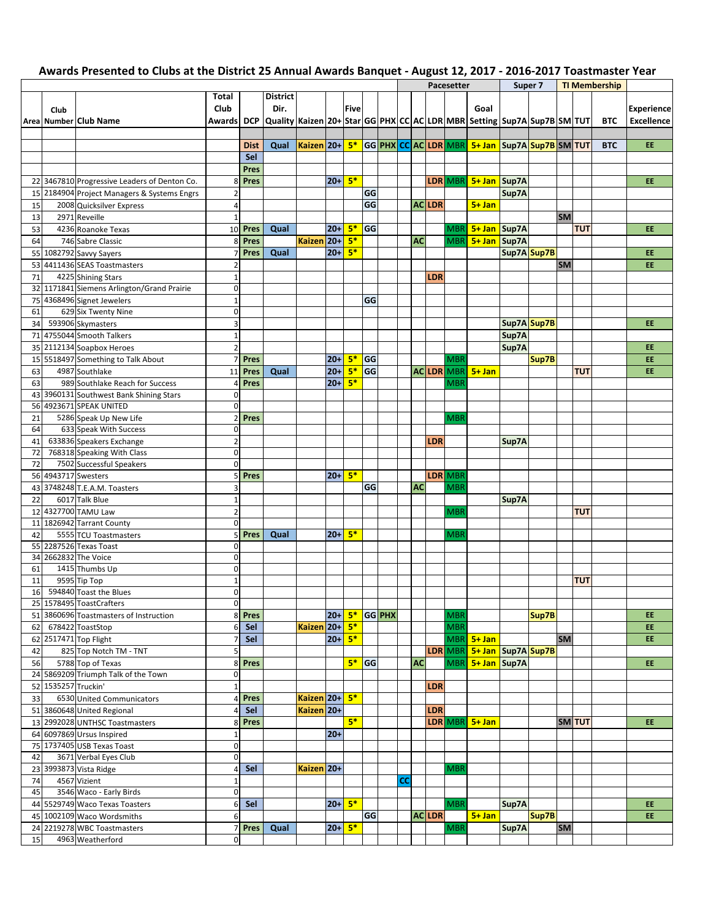|    |                     |                                              |                     |             |                                                                           |                 |           |      |    |        |    |           |               | Pacesetter |                                                |             | Super 7 |           |               | <b>TI Membership</b> |                   |
|----|---------------------|----------------------------------------------|---------------------|-------------|---------------------------------------------------------------------------|-----------------|-----------|------|----|--------|----|-----------|---------------|------------|------------------------------------------------|-------------|---------|-----------|---------------|----------------------|-------------------|
|    |                     |                                              | Total               |             | <b>District</b>                                                           |                 |           |      |    |        |    |           |               |            |                                                |             |         |           |               |                      |                   |
|    | Club                |                                              | Club                |             | Dir.                                                                      |                 |           | Five |    |        |    |           |               |            | Goal                                           |             |         |           |               |                      | <b>Experience</b> |
|    |                     | Area Number Club Name                        | Awardsl             | <b>DCP</b>  | Quality Kaizen 20+ Star GG PHX CC AC LDR MBR  Setting  Sup7A Sup7B SM TUT |                 |           |      |    |        |    |           |               |            |                                                |             |         |           |               | <b>BTC</b>           | Excellence        |
|    |                     |                                              |                     |             |                                                                           |                 |           |      |    |        |    |           |               |            |                                                |             |         |           |               |                      |                   |
|    |                     |                                              |                     |             |                                                                           |                 |           |      |    |        |    |           |               |            |                                                |             |         |           |               |                      |                   |
|    |                     |                                              |                     | <b>Dist</b> | Qual                                                                      | Kaizen 20+ $5*$ |           |      |    |        |    |           |               |            | GG PHX CC AC LDR MBR 5+ Jan Sup7A Sup7B SM TUT |             |         |           |               | <b>BTC</b>           | EE.               |
|    |                     |                                              |                     | Sel         |                                                                           |                 |           |      |    |        |    |           |               |            |                                                |             |         |           |               |                      |                   |
|    |                     |                                              |                     | Pres        |                                                                           |                 |           |      |    |        |    |           |               |            |                                                |             |         |           |               |                      |                   |
|    |                     | 22 3467810 Progressive Leaders of Denton Co. | 8                   | Pres        |                                                                           |                 | $20+$     | $5*$ |    |        |    |           |               |            | LDR MBR 5+ Jan Sup7A                           |             |         |           |               |                      | EE.               |
| 15 |                     | 2184904 Project Managers & Systems Engrs     | $\overline{2}$      |             |                                                                           |                 |           |      | GG |        |    |           |               |            |                                                | Sup7A       |         |           |               |                      |                   |
| 15 |                     | 2008 Quicksilver Express                     | $\overline{4}$      |             |                                                                           |                 |           |      | GG |        |    |           | <b>ACLDR</b>  |            | $5 + Jan$                                      |             |         |           |               |                      |                   |
|    |                     | 2971 Reveille                                | $\mathbf{1}$        |             |                                                                           |                 |           |      |    |        |    |           |               |            |                                                |             |         | <b>SM</b> |               |                      |                   |
| 13 |                     |                                              |                     |             |                                                                           |                 |           |      |    |        |    |           |               |            |                                                |             |         |           |               |                      |                   |
| 53 |                     | 4236 Roanoke Texas                           | 10                  | Pres        | Qual                                                                      |                 | $20+$     | $5*$ | GG |        |    |           |               | <b>MBR</b> | 5+ Jan Sup7A                                   |             |         |           | <b>TUT</b>    |                      | <b>EE</b>         |
| 64 |                     | 746 Sabre Classic                            | 8                   | <b>Pres</b> |                                                                           | Kaizen 20+      |           | $5*$ |    |        |    | <b>AC</b> |               | <b>MBR</b> | 5+ Jan Sup7A                                   |             |         |           |               |                      |                   |
| 55 |                     | 1082792 Savvy Sayers                         | $\overline{7}$      | <b>Pres</b> | Qual                                                                      |                 | $20+$     | $5*$ |    |        |    |           |               |            |                                                | Sup7A Sup7B |         |           |               |                      | <b>EE</b>         |
| 53 |                     | 4411436 SEAS Toastmasters                    | $\overline{2}$      |             |                                                                           |                 |           |      |    |        |    |           |               |            |                                                |             |         | <b>SM</b> |               |                      | EE.               |
| 71 |                     | 4225 Shining Stars                           | $\mathbf 1$         |             |                                                                           |                 |           |      |    |        |    |           | LDR           |            |                                                |             |         |           |               |                      |                   |
| 32 |                     | 1171841 Siemens Arlington/Grand Prairie      | $\mathbf 0$         |             |                                                                           |                 |           |      |    |        |    |           |               |            |                                                |             |         |           |               |                      |                   |
| 75 |                     | 4368496 Signet Jewelers                      | $\mathbf 1$         |             |                                                                           |                 |           |      | GG |        |    |           |               |            |                                                |             |         |           |               |                      |                   |
|    |                     |                                              |                     |             |                                                                           |                 |           |      |    |        |    |           |               |            |                                                |             |         |           |               |                      |                   |
| 61 |                     | 629 Six Twenty Nine                          | $\pmb{0}$           |             |                                                                           |                 |           |      |    |        |    |           |               |            |                                                |             |         |           |               |                      |                   |
| 34 |                     | 593906 Skymasters                            | 3                   |             |                                                                           |                 |           |      |    |        |    |           |               |            |                                                | Sup7A Sup7B |         |           |               |                      | <b>EE</b>         |
| 71 |                     | 4755044 Smooth Talkers                       | $\mathbf 1$         |             |                                                                           |                 |           |      |    |        |    |           |               |            |                                                | Sup7A       |         |           |               |                      |                   |
| 35 |                     | 2112134 Soapbox Heroes                       | $\overline{2}$      |             |                                                                           |                 |           |      |    |        |    |           |               |            |                                                | Sup7A       |         |           |               |                      | <b>EE</b>         |
| 15 |                     | 5518497 Something to Talk About              | $\overline{7}$      | Pres        |                                                                           |                 | $20+$     | $5*$ | GG |        |    |           |               | <b>MBR</b> |                                                |             | Sup7B   |           |               |                      | EE                |
| 63 |                     | 4987 Southlake                               | 11                  | Pres        | Qual                                                                      |                 | $20+$     | $5*$ | GG |        |    |           |               | ACLDR MBR  | $5 + Jan$                                      |             |         |           | <b>TUT</b>    |                      | <b>EE</b>         |
| 63 |                     | 989 Southlake Reach for Success              | $\overline{4}$      | <b>Pres</b> |                                                                           |                 | $20+$     | $5*$ |    |        |    |           |               | <b>MBR</b> |                                                |             |         |           |               |                      |                   |
| 43 |                     | 3960131 Southwest Bank Shining Stars         | $\mathbf 0$         |             |                                                                           |                 |           |      |    |        |    |           |               |            |                                                |             |         |           |               |                      |                   |
|    |                     | 4923671 SPEAK UNITED                         |                     |             |                                                                           |                 |           |      |    |        |    |           |               |            |                                                |             |         |           |               |                      |                   |
| 56 |                     |                                              | $\mathbf 0$         |             |                                                                           |                 |           |      |    |        |    |           |               |            |                                                |             |         |           |               |                      |                   |
| 21 |                     | 5286 Speak Up New Life                       | $\overline{2}$      | Pres        |                                                                           |                 |           |      |    |        |    |           |               | <b>MBR</b> |                                                |             |         |           |               |                      |                   |
| 64 |                     | 633 Speak With Success                       | $\pmb{0}$           |             |                                                                           |                 |           |      |    |        |    |           |               |            |                                                |             |         |           |               |                      |                   |
| 41 |                     | 633836 Speakers Exchange                     | $\overline{2}$      |             |                                                                           |                 |           |      |    |        |    |           | <b>LDR</b>    |            |                                                | Sup7A       |         |           |               |                      |                   |
| 72 |                     | 768318 Speaking With Class                   | $\mathbf 0$         |             |                                                                           |                 |           |      |    |        |    |           |               |            |                                                |             |         |           |               |                      |                   |
| 72 |                     | 7502 Successful Speakers                     | $\pmb{0}$           |             |                                                                           |                 |           |      |    |        |    |           |               |            |                                                |             |         |           |               |                      |                   |
| 56 |                     | 4943717 Swesters                             | 5                   | Pres        |                                                                           |                 | $20+$     | $5*$ |    |        |    |           |               | LDR MBR    |                                                |             |         |           |               |                      |                   |
| 43 |                     | 3748248 T.E.A.M. Toasters                    | 3                   |             |                                                                           |                 |           |      | GG |        |    | <b>AC</b> |               | <b>MBR</b> |                                                |             |         |           |               |                      |                   |
|    |                     |                                              |                     |             |                                                                           |                 |           |      |    |        |    |           |               |            |                                                |             |         |           |               |                      |                   |
| 22 |                     | 6017 Talk Blue                               | $\mathbf 1$         |             |                                                                           |                 |           |      |    |        |    |           |               |            |                                                | Sup7A       |         |           |               |                      |                   |
| 12 |                     | 4327700 TAMU Law                             | $\overline{2}$      |             |                                                                           |                 |           |      |    |        |    |           |               | <b>MBR</b> |                                                |             |         |           | <b>TUT</b>    |                      |                   |
| 11 |                     | 1826942 Tarrant County                       | $\mathsf{O}\xspace$ |             |                                                                           |                 |           |      |    |        |    |           |               |            |                                                |             |         |           |               |                      |                   |
| 42 |                     | 5555 TCU Toastmasters                        | 5                   | Pres        | Qual                                                                      |                 | $20+$     | $5*$ |    |        |    |           |               | <b>MBR</b> |                                                |             |         |           |               |                      |                   |
| 55 |                     | 2287526 Texas Toast                          | $\mathbf 0$         |             |                                                                           |                 |           |      |    |        |    |           |               |            |                                                |             |         |           |               |                      |                   |
| 34 |                     | 2662832 The Voice                            | 0                   |             |                                                                           |                 |           |      |    |        |    |           |               |            |                                                |             |         |           |               |                      |                   |
| 61 |                     | 1415 Thumbs Up                               | $\mathbf 0$         |             |                                                                           |                 |           |      |    |        |    |           |               |            |                                                |             |         |           |               |                      |                   |
| 11 |                     | 9595 Tip Top                                 | $\mathbf{1}$        |             |                                                                           |                 |           |      |    |        |    |           |               |            |                                                |             |         |           | <b>TUT</b>    |                      |                   |
| 16 |                     | 594840 Toast the Blues                       | $\mathbf 0$         |             |                                                                           |                 |           |      |    |        |    |           |               |            |                                                |             |         |           |               |                      |                   |
|    |                     |                                              |                     |             |                                                                           |                 |           |      |    |        |    |           |               |            |                                                |             |         |           |               |                      |                   |
|    |                     | 25 1578495 ToastCrafters                     | 0                   |             |                                                                           |                 |           |      |    |        |    |           |               |            |                                                |             |         |           |               |                      | EE.               |
|    |                     | 51 3860696 Toastmasters of Instruction       | 8                   | Pres        |                                                                           |                 | $20 + 5*$ |      |    | GG PHX |    |           |               | <b>MBR</b> |                                                |             | Sup7B   |           |               |                      |                   |
|    |                     | 62 678422 ToastStop                          | 6                   | Sel         |                                                                           | Kaizen 20+ 5*   |           |      |    |        |    |           |               | <b>MBR</b> |                                                |             |         |           |               |                      | EE.               |
|    |                     | 62 2517471 Top Flight                        | $\overline{7}$      | Sel         |                                                                           |                 | $20 + 5*$ |      |    |        |    |           |               |            | MBR 5+ Jan                                     |             |         | <b>SM</b> |               |                      | EE.               |
| 42 |                     | 825 Top Notch TM - TNT                       | 5                   |             |                                                                           |                 |           |      |    |        |    |           |               |            | LDR MBR 5+ Jan Sup7A Sup7B                     |             |         |           |               |                      |                   |
| 56 |                     | 5788 Top of Texas                            | 8                   | Pres        |                                                                           |                 |           | 5*   | GG |        |    | <b>AC</b> |               |            | MBR 5+ Jan Sup7A                               |             |         |           |               |                      | EE                |
|    |                     | 24 5869209 Triumph Talk of the Town          | $\pmb{0}$           |             |                                                                           |                 |           |      |    |        |    |           |               |            |                                                |             |         |           |               |                      |                   |
|    | 52 1535257 Truckin' |                                              | $\mathbf 1$         |             |                                                                           |                 |           |      |    |        |    |           | <b>LDR</b>    |            |                                                |             |         |           |               |                      |                   |
|    |                     | 6530 United Communicators                    |                     |             |                                                                           | Kaizen 20+ 5*   |           |      |    |        |    |           |               |            |                                                |             |         |           |               |                      |                   |
| 33 |                     |                                              | 4                   | Pres        |                                                                           |                 |           |      |    |        |    |           |               |            |                                                |             |         |           |               |                      |                   |
|    |                     | 51 3860648 United Regional                   | $\overline{4}$      | Sel         |                                                                           | Kaizen 20+      |           |      |    |        |    |           | LDR           |            |                                                |             |         |           |               |                      |                   |
|    |                     | 13 2992028 UNTHSC Toastmasters               | 8                   | Pres        |                                                                           |                 |           | $5*$ |    |        |    |           |               |            | LDR MBR 5+ Jan                                 |             |         |           | <b>SM</b> TUT |                      | EE                |
|    |                     | 64 6097869 Ursus Inspired                    | $\mathbf 1$         |             |                                                                           |                 | $20+$     |      |    |        |    |           |               |            |                                                |             |         |           |               |                      |                   |
|    |                     | 75 1737405 USB Texas Toast                   | $\mathbf 0$         |             |                                                                           |                 |           |      |    |        |    |           |               |            |                                                |             |         |           |               |                      |                   |
| 42 |                     | 3671 Verbal Eyes Club                        | $\pmb{0}$           |             |                                                                           |                 |           |      |    |        |    |           |               |            |                                                |             |         |           |               |                      |                   |
| 23 |                     | 3993873 Vista Ridge                          | 4                   | Sel         |                                                                           | Kaizen 20+      |           |      |    |        |    |           |               | <b>MBR</b> |                                                |             |         |           |               |                      |                   |
| 74 |                     | 4567 Vizient                                 | $\mathbf 1$         |             |                                                                           |                 |           |      |    |        | cc |           |               |            |                                                |             |         |           |               |                      |                   |
| 45 |                     |                                              | $\mathsf{O}\xspace$ |             |                                                                           |                 |           |      |    |        |    |           |               |            |                                                |             |         |           |               |                      |                   |
|    |                     | 3546 Waco - Early Birds                      |                     |             |                                                                           |                 |           |      |    |        |    |           |               |            |                                                |             |         |           |               |                      |                   |
|    |                     | 44 5529749 Waco Texas Toasters               | 6                   | Sel         |                                                                           |                 | $20 + 5*$ |      |    |        |    |           |               | <b>MBR</b> |                                                | Sup7A       |         |           |               |                      | EE.               |
|    |                     | 45 1002109 Waco Wordsmiths                   | 6                   |             |                                                                           |                 |           |      | GG |        |    |           | <b>AC LDR</b> |            | $5+$ Jan                                       |             | Sup7B   |           |               |                      | EE.               |
|    |                     | 24 2219278 WBC Toastmasters                  | $\overline{7}$      | Pres        | Qual                                                                      |                 | $20+$     | $5*$ |    |        |    |           |               | <b>MBR</b> |                                                | Sup7A       |         | <b>SM</b> |               |                      |                   |
| 15 |                     | 4963 Weatherford                             | $\pmb{0}$           |             |                                                                           |                 |           |      |    |        |    |           |               |            |                                                |             |         |           |               |                      |                   |